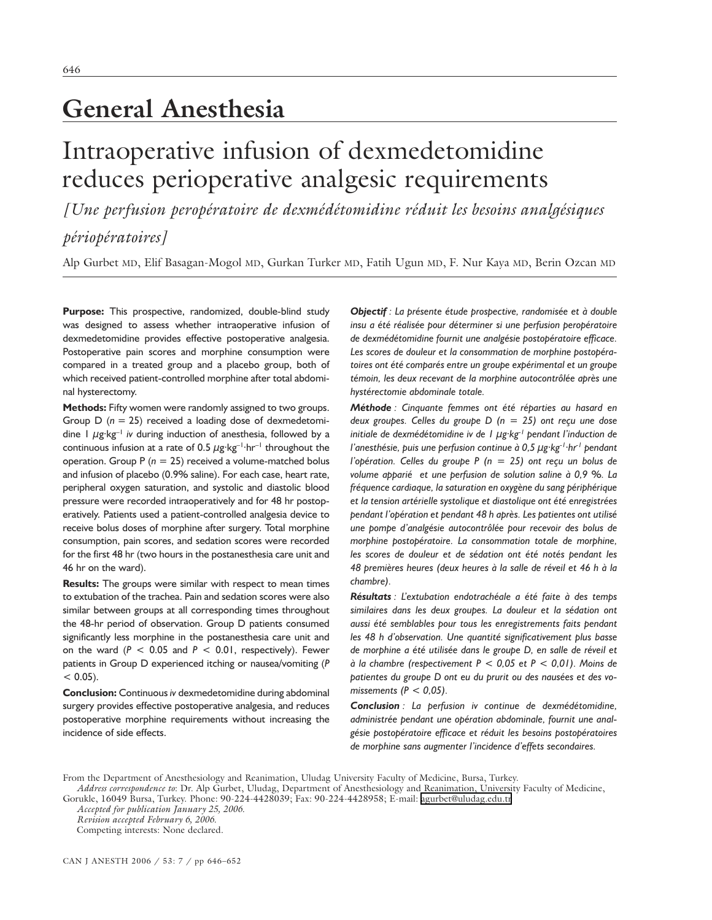# **General Anesthesia**

# Intraoperative infusion of dexmedetomidine reduces perioperative analgesic requirements

*[Une perfusion peropératoire de dexmédétomidine réduit les besoins analgésiques périopératoires]*

Alp Gurbet MD, Elif Basagan-Mogol MD, Gurkan Turker MD, Fatih Ugun MD, F. Nur Kaya MD, Berin Ozcan MD

**Purpose:** This prospective, randomized, double-blind study was designed to assess whether intraoperative infusion of dexmedetomidine provides effective postoperative analgesia. Postoperative pain scores and morphine consumption were compared in a treated group and a placebo group, both of which received patient-controlled morphine after total abdominal hysterectomy.

**Methods:** Fifty women were randomly assigned to two groups. Group D (*n* = 25) received a loading dose of dexmedetomidine 1 µg·kg–1 *iv* during induction of anesthesia, followed by a continuous infusion at a rate of 0.5  $\mu$ g·kg<sup>-1</sup>·hr<sup>-1</sup> throughout the operation. Group P (*n* = 25) received a volume-matched bolus and infusion of placebo (0.9% saline). For each case, heart rate, peripheral oxygen saturation, and systolic and diastolic blood pressure were recorded intraoperatively and for 48 hr postoperatively. Patients used a patient-controlled analgesia device to receive bolus doses of morphine after surgery. Total morphine consumption, pain scores, and sedation scores were recorded for the first 48 hr (two hours in the postanesthesia care unit and 46 hr on the ward).

**Results:** The groups were similar with respect to mean times to extubation of the trachea. Pain and sedation scores were also similar between groups at all corresponding times throughout the 48-hr period of observation. Group D patients consumed significantly less morphine in the postanesthesia care unit and on the ward  $(P < 0.05$  and  $P < 0.01$ , respectively). Fewer patients in Group D experienced itching or nausea/vomiting (*P*  $< 0.05$ ).

**Conclusion:** Continuous *iv* dexmedetomidine during abdominal surgery provides effective postoperative analgesia, and reduces postoperative morphine requirements without increasing the incidence of side effects.

*Objectif : La présente étude prospective, randomisée et à double insu a été réalisée pour déterminer si une perfusion peropératoire de dexmédétomidine fournit une analgésie postopératoire efficace. Les scores de douleur et la consommation de morphine postopératoires ont été comparés entre un groupe expérimental et un groupe témoin, les deux recevant de la morphine autocontrôlée après une hystérectomie abdominale totale.*

*Méthode : Cinquante femmes ont été réparties au hasard en deux groupes. Celles du groupe D (n = 25) ont reçu une dose initiale de dexmédétomidine iv de 1 µg·kg-1 pendant l'induction de l'anesthésie, puis une perfusion continue à 0,5 µg·kg-1·hr-1 pendant l'opération. Celles du groupe P (n = 25) ont reçu un bolus de volume apparié et une perfusion de solution saline à 0,9 %. La fréquence cardiaque, la saturation en oxygène du sang périphérique et la tension artérielle systolique et diastolique ont été enregistrées pendant l'opération et pendant 48 h après. Les patientes ont utilisé une pompe d'analgésie autocontrôlée pour recevoir des bolus de morphine postopératoire. La consommation totale de morphine, les scores de douleur et de sédation ont été notés pendant les 48 premières heures (deux heures à la salle de réveil et 46 h à la chambre).*

*Résultats : L'extubation endotrachéale a été faite à des temps similaires dans les deux groupes. La douleur et la sédation ont aussi été semblables pour tous les enregistrements faits pendant les 48 h d'observation. Une quantité significativement plus basse de morphine a été utilisée dans le groupe D, en salle de réveil et à la chambre (respectivement P < 0,05 et P < 0,01). Moins de patientes du groupe D ont eu du prurit ou des nausées et des vomissements (P < 0,05).*

*Conclusion : La perfusion iv continue de dexmédétomidine, administrée pendant une opération abdominale, fournit une analgésie postopératoire efficace et réduit les besoins postopératoires de morphine sans augmenter l'incidence d'effets secondaires.*

*Accepted for publication January 25, 2006.*

Competing interests: None declared.

From the Department of Anesthesiology and Reanimation, Uludag University Faculty of Medicine, Bursa, Turkey. *Address correspondence to*: Dr. Alp Gurbet, Uludag, Department of Anesthesiology and Reanimation, University Faculty of Medicine,

Gorukle, 16049 Bursa, Turkey. Phone: 90-224-4428039; Fax: 90-224-4428958; E-mail: [agurbet@uludag.edu.tr](mailto:agurbet@uludag.edu.tr)

*Revision accepted February 6, 2006.*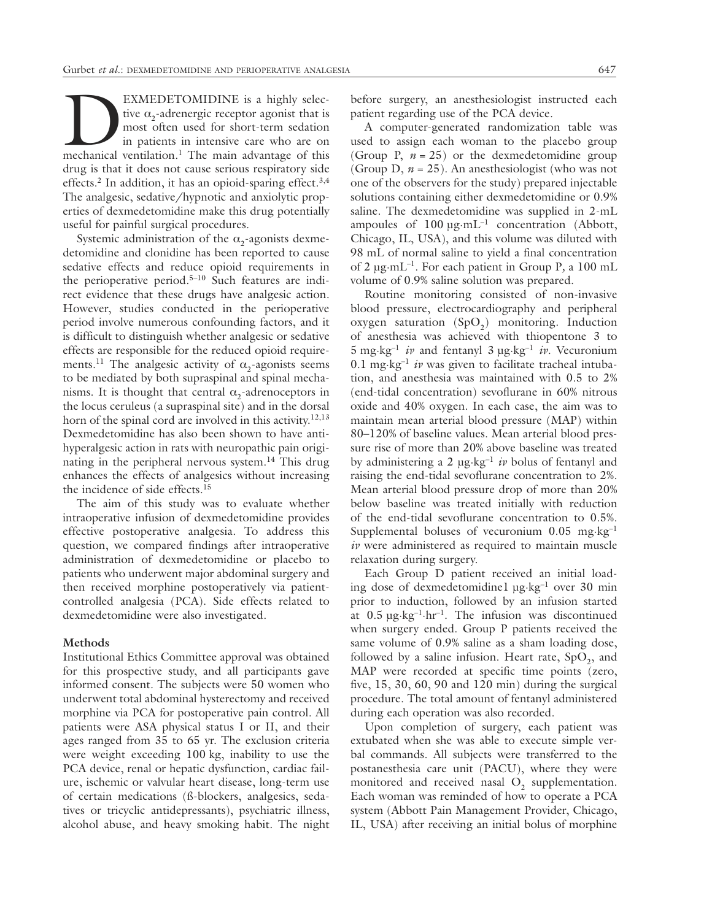EXMEDETOMIDINE is a highly selective  $\alpha_2$ -adrenergic receptor agonist that is most often used for short-term sedation in patients in intensive care who are on mechanical ventilation.<sup>1</sup> The main advantage of this tive  $\alpha_2$ -adrenergic receptor agonist that is most often used for short-term sedation in patients in intensive care who are on drug is that it does not cause serious respiratory side effects.<sup>2</sup> In addition, it has an opioid-sparing effect.<sup>3,4</sup> The analgesic, sedative/hypnotic and anxiolytic properties of dexmedetomidine make this drug potentially useful for painful surgical procedures.

Systemic administration of the  $\alpha$ <sub>2</sub>-agonists dexmedetomidine and clonidine has been reported to cause sedative effects and reduce opioid requirements in the perioperative period.5–10 Such features are indirect evidence that these drugs have analgesic action. However, studies conducted in the perioperative period involve numerous confounding factors, and it is difficult to distinguish whether analgesic or sedative effects are responsible for the reduced opioid requirements.<sup>11</sup> The analgesic activity of  $\alpha$ <sub>2</sub>-agonists seems to be mediated by both supraspinal and spinal mechanisms. It is thought that central  $\alpha_2$ -adrenoceptors in the locus ceruleus (a supraspinal site) and in the dorsal horn of the spinal cord are involved in this activity.<sup>12,13</sup> Dexmedetomidine has also been shown to have antihyperalgesic action in rats with neuropathic pain originating in the peripheral nervous system.<sup>14</sup> This drug enhances the effects of analgesics without increasing the incidence of side effects.15

The aim of this study was to evaluate whether intraoperative infusion of dexmedetomidine provides effective postoperative analgesia. To address this question, we compared findings after intraoperative administration of dexmedetomidine or placebo to patients who underwent major abdominal surgery and then received morphine postoperatively via patientcontrolled analgesia (PCA). Side effects related to dexmedetomidine were also investigated.

# **Methods**

Institutional Ethics Committee approval was obtained for this prospective study, and all participants gave informed consent. The subjects were 50 women who underwent total abdominal hysterectomy and received morphine via PCA for postoperative pain control. All patients were ASA physical status I or II, and their ages ranged from 35 to 65 yr. The exclusion criteria were weight exceeding 100 kg, inability to use the PCA device, renal or hepatic dysfunction, cardiac failure, ischemic or valvular heart disease, long-term use of certain medications (ß-blockers, analgesics, sedatives or tricyclic antidepressants), psychiatric illness, alcohol abuse, and heavy smoking habit. The night before surgery, an anesthesiologist instructed each patient regarding use of the PCA device.

A computer-generated randomization table was used to assign each woman to the placebo group (Group P,  $n = 25$ ) or the dexmedetomidine group (Group D, *n* = 25). An anesthesiologist (who was not one of the observers for the study) prepared injectable solutions containing either dexmedetomidine or 0.9% saline. The dexmedetomidine was supplied in 2-mL ampoules of  $100 \mu g \cdot mL^{-1}$  concentration (Abbott, Chicago, IL, USA), and this volume was diluted with 98 mL of normal saline to yield a final concentration of 2 µg·mL–1. For each patient in Group P*,* a 100 mL volume of 0.9% saline solution was prepared.

Routine monitoring consisted of non-invasive blood pressure, electrocardiography and peripheral oxygen saturation  $(SpO<sub>2</sub>)$  monitoring. Induction of anesthesia was achieved with thiopentone 3 to 5 mg·kg–1 *iv* and fentanyl 3 µg·kg–1 *iv*. Vecuronium 0.1 mg·kg–1 *iv* was given to facilitate tracheal intubation, and anesthesia was maintained with 0.5 to 2% (end-tidal concentration) sevoflurane in 60% nitrous oxide and 40% oxygen. In each case, the aim was to maintain mean arterial blood pressure (MAP) within 80–120% of baseline values. Mean arterial blood pressure rise of more than 20% above baseline was treated by administering a 2 µg·kg–1 *iv* bolus of fentanyl and raising the end-tidal sevoflurane concentration to 2%. Mean arterial blood pressure drop of more than 20% below baseline was treated initially with reduction of the end-tidal sevoflurane concentration to 0.5%. Supplemental boluses of vecuronium 0.05 mg·kg–1 *iv* were administered as required to maintain muscle relaxation during surgery.

Each Group D patient received an initial loading dose of dexmedetomidine1 µg·kg–1 over 30 min prior to induction, followed by an infusion started at  $0.5 \mu$ g·kg<sup>-1</sup>·hr<sup>-1</sup>. The infusion was discontinued when surgery ended. Group P patients received the same volume of 0.9% saline as a sham loading dose, followed by a saline infusion. Heart rate,  $SpO<sub>2</sub>$ , and MAP were recorded at specific time points (zero, five, 15, 30, 60, 90 and 120 min) during the surgical procedure. The total amount of fentanyl administered during each operation was also recorded.

Upon completion of surgery, each patient was extubated when she was able to execute simple verbal commands. All subjects were transferred to the postanesthesia care unit (PACU), where they were monitored and received nasal  $O<sub>2</sub>$  supplementation. Each woman was reminded of how to operate a PCA system (Abbott Pain Management Provider, Chicago, IL, USA) after receiving an initial bolus of morphine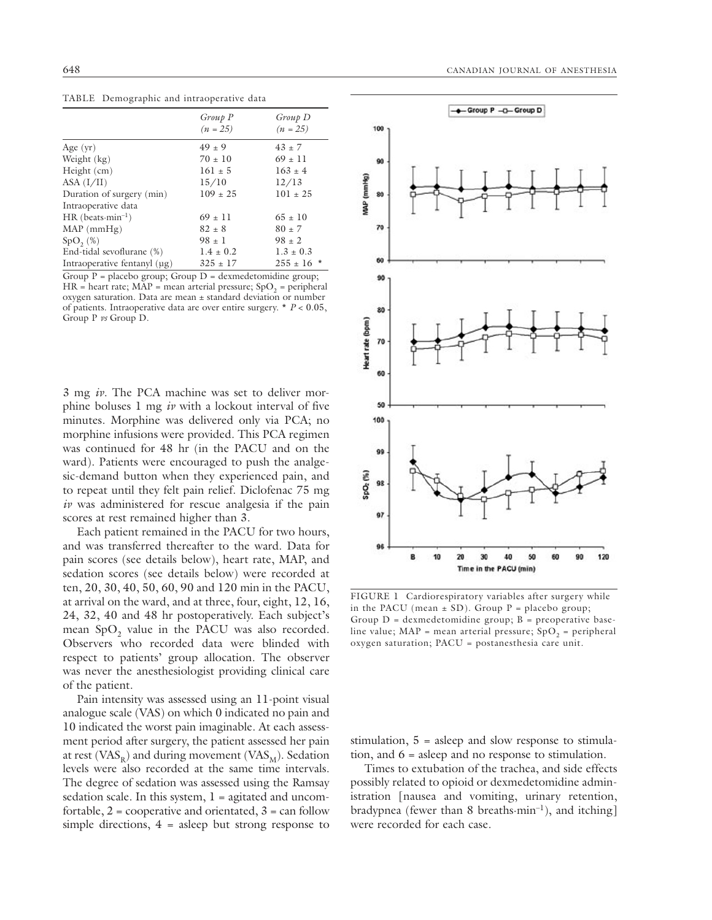|                                 | Group P<br>$(n = 25)$ | Group D<br>$(n = 25)$ |
|---------------------------------|-----------------------|-----------------------|
| Age $(yr)$                      | $49 + 9$              | $43 \pm 7$            |
| Weight (kg)                     | $70 \pm 10$           | $69 + 11$             |
| Height (cm)                     | $161 \pm 5$           | $163 + 4$             |
| ASA (I/II)                      | 15/10                 | 12/13                 |
| Duration of surgery (min)       | $109 \pm 25$          | $101 + 25$            |
| Intraoperative data             |                       |                       |
| $HR$ (beats-min <sup>-1</sup> ) | $69 + 11$             | $65 + 10$             |
| $MAP$ (mmHg)                    | $82 + 8$              | $80 + 7$              |
| $SpO_{2}(\%)$                   | $98 \pm 1$            | $98 \pm 2$            |
| End-tidal sevoflurane (%)       | $1.4 \pm 0.2$         | $1.3 \pm 0.3$         |
| Intraoperative fentanyl (µg)    | $325 \pm 17$          | $255 \pm 16$ *        |

TABLE Demographic and intraoperative data

Group  $P =$  placebo group; Group  $D =$  dexmedetomidine group;  $HR = heart$  rate;  $MAP = mean$  arterial pressure;  $SpO<sub>2</sub> = peripheral$ oxygen saturation. Data are mean ± standard deviation or number of patients. Intraoperative data are over entire surgery. \* *P* < 0.05, Group P *vs* Group D.

3 mg *iv*. The PCA machine was set to deliver morphine boluses 1 mg *iv* with a lockout interval of five minutes. Morphine was delivered only via PCA; no morphine infusions were provided. This PCA regimen was continued for 48 hr (in the PACU and on the ward). Patients were encouraged to push the analgesic-demand button when they experienced pain, and to repeat until they felt pain relief. Diclofenac 75 mg *iv* was administered for rescue analgesia if the pain scores at rest remained higher than 3.

Each patient remained in the PACU for two hours, and was transferred thereafter to the ward. Data for pain scores (see details below), heart rate, MAP, and sedation scores (see details below) were recorded at ten, 20, 30, 40, 50, 60, 90 and 120 min in the PACU, at arrival on the ward, and at three, four, eight, 12, 16, 24, 32, 40 and 48 hr postoperatively. Each subject's mean SpO<sub>2</sub> value in the PACU was also recorded. Observers who recorded data were blinded with respect to patients' group allocation. The observer was never the anesthesiologist providing clinical care of the patient.

Pain intensity was assessed using an 11-point visual analogue scale (VAS) on which 0 indicated no pain and 10 indicated the worst pain imaginable. At each assessment period after surgery, the patient assessed her pain at rest ( $VAS_R$ ) and during movement ( $VAS_M$ ). Sedation levels were also recorded at the same time intervals. The degree of sedation was assessed using the Ramsay sedation scale. In this system,  $l =$  agitated and uncomfortable,  $2 =$  cooperative and orientated,  $3 =$  can follow simple directions,  $4 =$  asleep but strong response to



FIGURE 1 Cardiorespiratory variables after surgery while in the PACU (mean  $\pm$  SD). Group P = placebo group; Group  $D =$  dexmedetomidine group;  $B =$  preoperative baseline value; MAP = mean arterial pressure;  $SpO<sub>2</sub>$  = peripheral oxygen saturation; PACU = postanesthesia care unit.

stimulation, 5 = asleep and slow response to stimulation, and 6 = asleep and no response to stimulation.

Times to extubation of the trachea, and side effects possibly related to opioid or dexmedetomidine administration [nausea and vomiting, urinary retention, bradypnea (fewer than 8 breaths·min<sup>-1</sup>), and itching] were recorded for each case.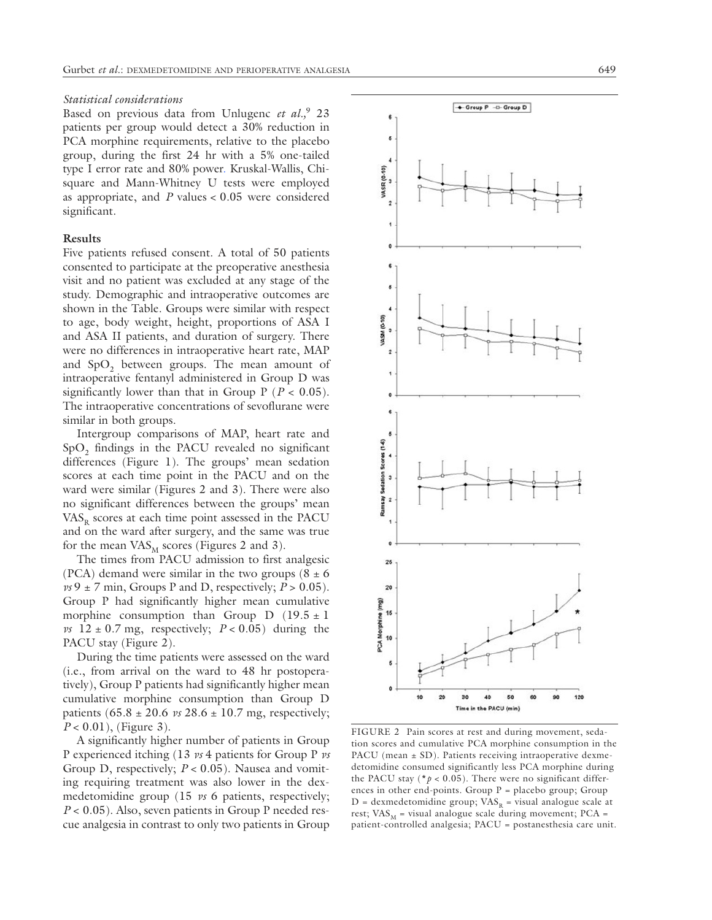#### *Statistical considerations*

Based on previous data from Unlugenc *et al.,*9 23 patients per group would detect a 30% reduction in PCA morphine requirements, relative to the placebo group, during the first 24 hr with a 5% one-tailed type I error rate and 80% power. Kruskal-Wallis, Chisquare and Mann-Whitney U tests were employed as appropriate, and *P* values < 0.05 were considered significant.

## **Results**

Five patients refused consent. A total of 50 patients consented to participate at the preoperative anesthesia visit and no patient was excluded at any stage of the study. Demographic and intraoperative outcomes are shown in the Table. Groups were similar with respect to age, body weight, height, proportions of ASA I and ASA II patients, and duration of surgery. There were no differences in intraoperative heart rate, MAP and  $SpO<sub>2</sub>$  between groups. The mean amount of intraoperative fentanyl administered in Group D was significantly lower than that in Group  $P$  ( $P < 0.05$ ). The intraoperative concentrations of sevoflurane were similar in both groups.

Intergroup comparisons of MAP, heart rate and SpO<sub>2</sub> findings in the PACU revealed no significant differences (Figure 1). The groups' mean sedation scores at each time point in the PACU and on the ward were similar (Figures 2 and 3). There were also no significant differences between the groups' mean  $VAS<sub>R</sub>$  scores at each time point assessed in the PACU and on the ward after surgery, and the same was true for the mean  $\mathrm{VAS}_{\mathrm{M}}$  scores (Figures 2 and 3).

The times from PACU admission to first analgesic (PCA) demand were similar in the two groups  $(8 \pm 6)$  $\nu s$  9  $\pm$  7 min, Groups P and D, respectively;  $P > 0.05$ ). Group P had significantly higher mean cumulative morphine consumption than Group D  $(19.5 \pm 1)$ *vs*  $12 \pm 0.7$  mg, respectively;  $P < 0.05$ ) during the PACU stay (Figure 2).

During the time patients were assessed on the ward (i.e., from arrival on the ward to 48 hr postoperatively), Group P patients had significantly higher mean cumulative morphine consumption than Group D patients  $(65.8 \pm 20.6 \text{ vs } 28.6 \pm 10.7 \text{ mg}, \text{ respectively};$ *P* < 0.01), (Figure 3).

A significantly higher number of patients in Group P experienced itching (13 *vs* 4 patients for Group P *vs*  Group D, respectively; *P* < 0.05). Nausea and vomiting requiring treatment was also lower in the dexmedetomidine group (15 *vs* 6 patients, respectively; *P* < 0.05). Also, seven patients in Group P needed rescue analgesia in contrast to only two patients in Group





FIGURE 2 Pain scores at rest and during movement, sedation scores and cumulative PCA morphine consumption in the PACU (mean  $\pm$  SD). Patients receiving intraoperative dexmedetomidine consumed significantly less PCA morphine during the PACU stay ( $* p < 0.05$ ). There were no significant differences in other end-points. Group  $P =$  placebo group; Group  $D =$  dexmedetomidine group;  $VAS_R =$  visual analogue scale at rest;  $VAS_M$  = visual analogue scale during movement; PCA = patient-controlled analgesia; PACU = postanesthesia care unit.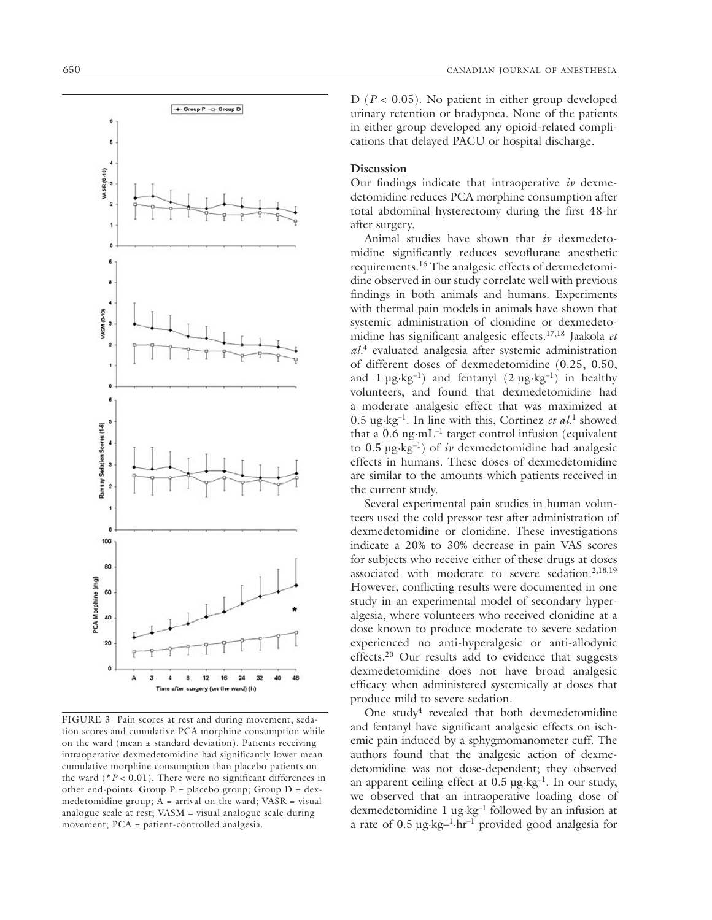

FIGURE 3 Pain scores at rest and during movement, sedation scores and cumulative PCA morphine consumption while on the ward (mean  $\pm$  standard deviation). Patients receiving intraoperative dexmedetomidine had significantly lower mean cumulative morphine consumption than placebo patients on the ward  $(*P < 0.01)$ . There were no significant differences in other end-points. Group  $P =$  placebo group; Group  $D =$  dexmedetomidine group;  $A =$  arrival on the ward;  $VASR =$  visual analogue scale at rest; VASM = visual analogue scale during movement; PCA = patient-controlled analgesia.

D (*P* < 0.05). No patient in either group developed urinary retention or bradypnea. None of the patients in either group developed any opioid-related complications that delayed PACU or hospital discharge.

# **Discussion**

Our findings indicate that intraoperative *iv* dexmedetomidine reduces PCA morphine consumption after total abdominal hysterectomy during the first 48-hr after surgery.

Animal studies have shown that *iv* dexmedetomidine significantly reduces sevoflurane anesthetic requirements.16 The analgesic effects of dexmedetomidine observed in our study correlate well with previous findings in both animals and humans. Experiments with thermal pain models in animals have shown that systemic administration of clonidine or dexmedetomidine has significant analgesic effects.17,18 Jaakola *et al.*4 evaluated analgesia after systemic administration of different doses of dexmedetomidine (0.25, 0.50, and  $1 \mu g \cdot kg^{-1}$  and fentanyl  $(2 \mu g \cdot kg^{-1})$  in healthy volunteers, and found that dexmedetomidine had a moderate analgesic effect that was maximized at 0.5 µg·kg–1. In line with this, Cortinez *et al.*1 showed that a  $0.6$  ng $\cdot$ mL<sup>-1</sup> target control infusion (equivalent to  $0.5 \mu$ g·kg<sup>-1</sup>) of *iv* dexmedetomidine had analgesic effects in humans. These doses of dexmedetomidine are similar to the amounts which patients received in the current study.

Several experimental pain studies in human volunteers used the cold pressor test after administration of dexmedetomidine or clonidine. These investigations indicate a 20% to 30% decrease in pain VAS scores for subjects who receive either of these drugs at doses associated with moderate to severe sedation.<sup>2,18,19</sup> However, conflicting results were documented in one study in an experimental model of secondary hyperalgesia, where volunteers who received clonidine at a dose known to produce moderate to severe sedation experienced no anti-hyperalgesic or anti-allodynic effects.<sup>20</sup> Our results add to evidence that suggests dexmedetomidine does not have broad analgesic efficacy when administered systemically at doses that produce mild to severe sedation.

One study<sup>4</sup> revealed that both dexmedetomidine and fentanyl have significant analgesic effects on ischemic pain induced by a sphygmomanometer cuff. The authors found that the analgesic action of dexmedetomidine was not dose-dependent; they observed an apparent ceiling effect at  $0.5 \mu g \cdot kg^{-1}$ . In our study, we observed that an intraoperative loading dose of dexmedetomidine 1 µg·kg–1 followed by an infusion at a rate of  $0.5 \mu g$ - $kg^{-1}$ -hr<sup>-1</sup> provided good analgesia for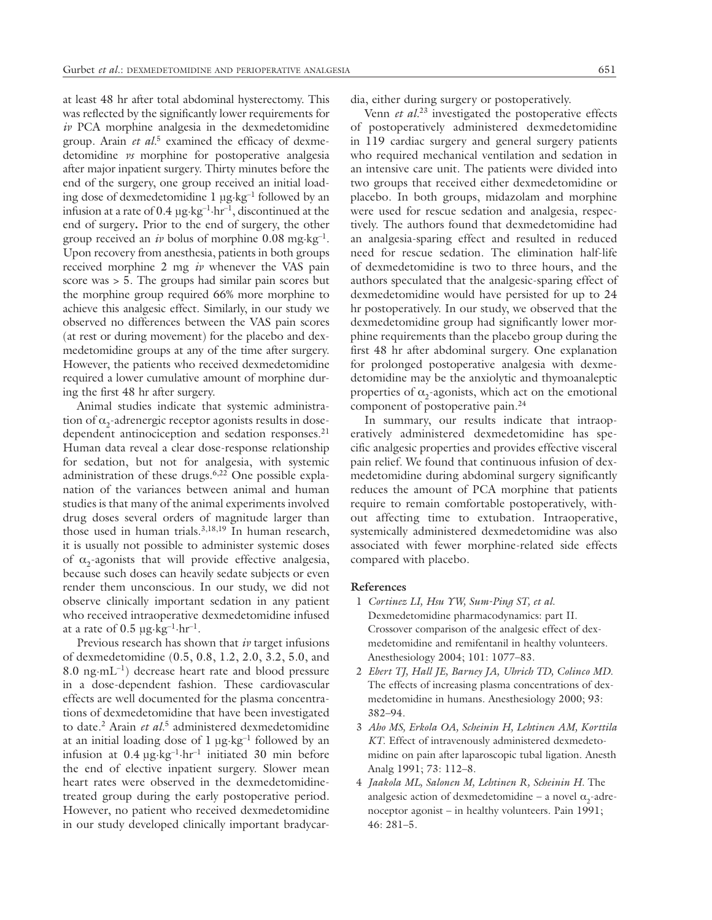at least 48 hr after total abdominal hysterectomy. This was reflected by the significantly lower requirements for *iv* PCA morphine analgesia in the dexmedetomidine group. Arain *et al.*5 examined the efficacy of dexmedetomidine *vs* morphine for postoperative analgesia after major inpatient surgery. Thirty minutes before the end of the surgery, one group received an initial loading dose of dexmedetomidine 1 µg·kg–1 followed by an infusion at a rate of  $0.4 \mu$ g·kg<sup>-1</sup>·hr<sup>-1</sup>, discontinued at the end of surgery**.** Prior to the end of surgery, the other group received an *iv* bolus of morphine 0.08 mg·kg–1. Upon recovery from anesthesia, patients in both groups received morphine 2 mg *iv* whenever the VAS pain score was > 5. The groups had similar pain scores but the morphine group required 66% more morphine to achieve this analgesic effect. Similarly, in our study we observed no differences between the VAS pain scores (at rest or during movement) for the placebo and dexmedetomidine groups at any of the time after surgery. However, the patients who received dexmedetomidine required a lower cumulative amount of morphine during the first 48 hr after surgery.

Animal studies indicate that systemic administration of  $\alpha_2$ -adrenergic receptor agonists results in dosedependent antinociception and sedation responses.<sup>21</sup> Human data reveal a clear dose-response relationship for sedation, but not for analgesia, with systemic administration of these drugs.6,22 One possible explanation of the variances between animal and human studies is that many of the animal experiments involved drug doses several orders of magnitude larger than those used in human trials.<sup>3,18,19</sup> In human research, it is usually not possible to administer systemic doses of  $\alpha$ <sub>2</sub>-agonists that will provide effective analgesia, because such doses can heavily sedate subjects or even render them unconscious. In our study, we did not observe clinically important sedation in any patient who received intraoperative dexmedetomidine infused at a rate of  $0.5 \mu g \cdot kg^{-1} \cdot hr^{-1}$ .

Previous research has shown that *iv* target infusions of dexmedetomidine (0.5, 0.8, 1.2, 2.0, 3.2, 5.0, and 8.0 ng $\cdot$ mL<sup>-1</sup>) decrease heart rate and blood pressure in a dose-dependent fashion. These cardiovascular effects are well documented for the plasma concentrations of dexmedetomidine that have been investigated to date.2 Arain *et al.*5 administered dexmedetomidine at an initial loading dose of 1 µg·kg–1 followed by an infusion at  $0.4 \mu g \cdot kg^{-1} \cdot hr^{-1}$  initiated 30 min before the end of elective inpatient surgery. Slower mean heart rates were observed in the dexmedetomidinetreated group during the early postoperative period. However, no patient who received dexmedetomidine in our study developed clinically important bradycardia, either during surgery or postoperatively.

Venn *et al.*23 investigated the postoperative effects of postoperatively administered dexmedetomidine in 119 cardiac surgery and general surgery patients who required mechanical ventilation and sedation in an intensive care unit. The patients were divided into two groups that received either dexmedetomidine or placebo. In both groups, midazolam and morphine were used for rescue sedation and analgesia, respectively. The authors found that dexmedetomidine had an analgesia-sparing effect and resulted in reduced need for rescue sedation. The elimination half-life of dexmedetomidine is two to three hours, and the authors speculated that the analgesic-sparing effect of dexmedetomidine would have persisted for up to 24 hr postoperatively. In our study, we observed that the dexmedetomidine group had significantly lower morphine requirements than the placebo group during the first 48 hr after abdominal surgery. One explanation for prolonged postoperative analgesia with dexmedetomidine may be the anxiolytic and thymoanaleptic properties of  $\alpha$ <sub>2</sub>-agonists, which act on the emotional component of postoperative pain.<sup>24</sup>

In summary, our results indicate that intraoperatively administered dexmedetomidine has specific analgesic properties and provides effective visceral pain relief. We found that continuous infusion of dexmedetomidine during abdominal surgery significantly reduces the amount of PCA morphine that patients require to remain comfortable postoperatively, without affecting time to extubation. Intraoperative, systemically administered dexmedetomidine was also associated with fewer morphine-related side effects compared with placebo.

## **References**

- 1 *Cortinez LI, Hsu YW, Sum-Ping ST, et al.* Dexmedetomidine pharmacodynamics: part II. Crossover comparison of the analgesic effect of dexmedetomidine and remifentanil in healthy volunteers. Anesthesiology 2004; 101: 1077–83.
- 2 *Ebert TJ, Hall JE, Barney JA, Uhrich TD, Colinco MD*. The effects of increasing plasma concentrations of dexmedetomidine in humans. Anesthesiology 2000; 93: 382–94.
- 3 *Aho MS, Erkola OA, Scheinin H, Lehtinen AM, Korttila KT*. Effect of intravenously administered dexmedetomidine on pain after laparoscopic tubal ligation. Anesth Analg 1991; 73: 112–8.
- 4 *Jaakola ML, Salonen M, Lehtinen R, Scheinin H.* The analgesic action of dexmedetomidine – a novel  $\alpha$ <sub>2</sub>-adrenoceptor agonist – in healthy volunteers. Pain 1991; 46: 281–5.